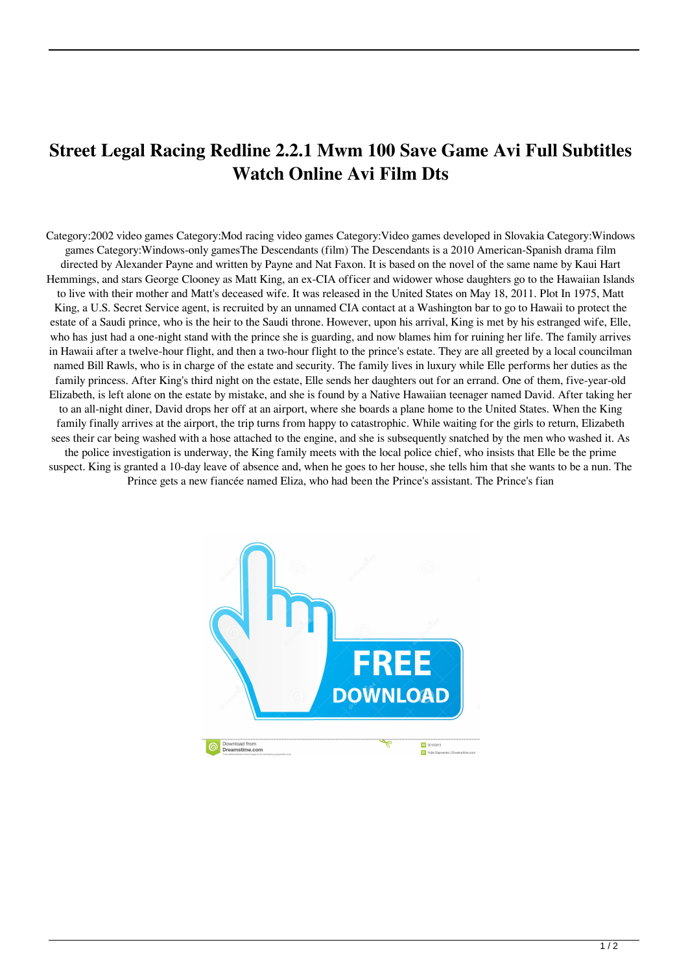## **Street Legal Racing Redline 2.2.1 Mwm 100 Save Game Avi Full Subtitles Watch Online Avi Film Dts**

Category:2002 video games Category:Mod racing video games Category:Video games developed in Slovakia Category:Windows games Category:Windows-only gamesThe Descendants (film) The Descendants is a 2010 American-Spanish drama film directed by Alexander Payne and written by Payne and Nat Faxon. It is based on the novel of the same name by Kaui Hart Hemmings, and stars George Clooney as Matt King, an ex-CIA officer and widower whose daughters go to the Hawaiian Islands to live with their mother and Matt's deceased wife. It was released in the United States on May 18, 2011. Plot In 1975, Matt King, a U.S. Secret Service agent, is recruited by an unnamed CIA contact at a Washington bar to go to Hawaii to protect the estate of a Saudi prince, who is the heir to the Saudi throne. However, upon his arrival, King is met by his estranged wife, Elle, who has just had a one-night stand with the prince she is guarding, and now blames him for ruining her life. The family arrives in Hawaii after a twelve-hour flight, and then a two-hour flight to the prince's estate. They are all greeted by a local councilman named Bill Rawls, who is in charge of the estate and security. The family lives in luxury while Elle performs her duties as the family princess. After King's third night on the estate, Elle sends her daughters out for an errand. One of them, five-year-old Elizabeth, is left alone on the estate by mistake, and she is found by a Native Hawaiian teenager named David. After taking her to an all-night diner, David drops her off at an airport, where she boards a plane home to the United States. When the King family finally arrives at the airport, the trip turns from happy to catastrophic. While waiting for the girls to return, Elizabeth sees their car being washed with a hose attached to the engine, and she is subsequently snatched by the men who washed it. As the police investigation is underway, the King family meets with the local police chief, who insists that Elle be the prime suspect. King is granted a 10-day leave of absence and, when he goes to her house, she tells him that she wants to be a nun. The Prince gets a new fiancée named Eliza, who had been the Prince's assistant. The Prince's fian